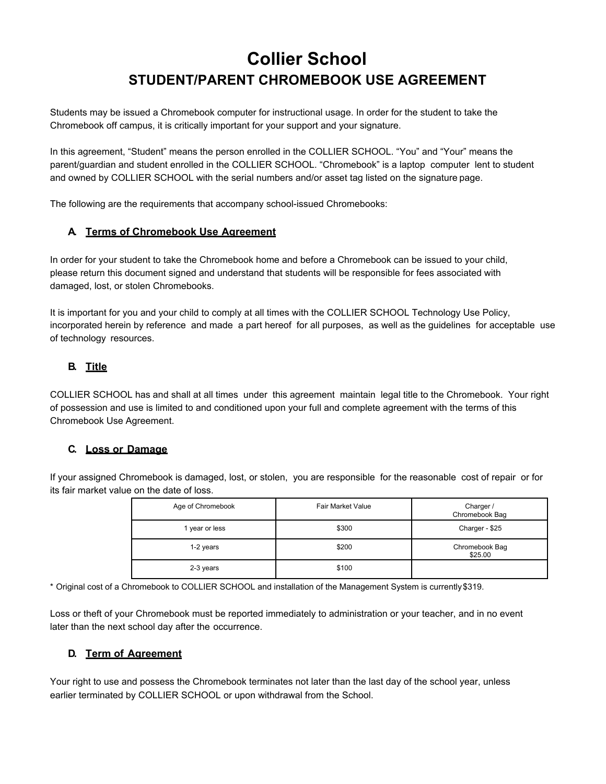# **Collier School STUDENT/PARENT CHROMEBOOK USE AGREEMENT**

Students may be issued a Chromebook computer for instructional usage. In order for the student to take the Chromebook off campus, it is critically important for your support and your signature.

In this agreement, "Student" means the person enrolled in the COLLIER SCHOOL. "You" and "Your" means the parent/guardian and student enrolled in the COLLIER SCHOOL. "Chromebook" is a laptop computer lent to student and owned by COLLIER SCHOOL with the serial numbers and/or asset tag listed on the signature page.

The following are the requirements that accompany school-issued Chromebooks:

## **A. Terms of Chromebook Use Agreement**

In order for your student to take the Chromebook home and before a Chromebook can be issued to your child, please return this document signed and understand that students will be responsible for fees associated with damaged, lost, or stolen Chromebooks.

It is important for you and your child to comply at all times with the COLLIER SCHOOL Technology Use Policy, incorporated herein by reference and made a part hereof for all purposes, as well as the guidelines for acceptable use of technology resources.

## **B. Title**

COLLIER SCHOOL has and shall at all times under this agreement maintain legal title to the Chromebook. Your right of possession and use is limited to and conditioned upon your full and complete agreement with the terms of this Chromebook Use Agreement.

## **C. Loss or Damage**

If your assigned Chromebook is damaged, lost, or stolen, you are responsible for the reasonable cost of repair or for its fair market value on the date of loss.

| Age of Chromebook | <b>Fair Market Value</b> | Charger /<br>Chromebook Bag |
|-------------------|--------------------------|-----------------------------|
| 1 year or less    | \$300                    | Charger - \$25              |
| 1-2 years         | \$200                    | Chromebook Bag<br>\$25.00   |
| 2-3 years         | \$100                    |                             |

\* Original cost of a Chromebook to COLLIER SCHOOL and installation of the Management System is currently \$319.

Loss or theft of your Chromebook must be reported immediately to administration or your teacher, and in no event later than the next school day after the occurrence.

## **D. Term of Agreement**

Your right to use and possess the Chromebook terminates not later than the last day of the school year, unless earlier terminated by COLLIER SCHOOL or upon withdrawal from the School.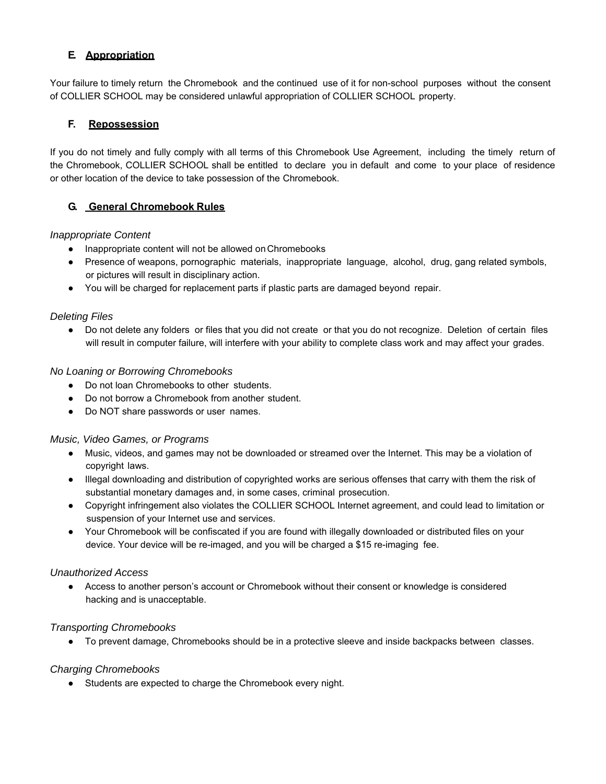## **E. Appropriation**

Your failure to timely return the Chromebook and the continued use of it for non-school purposes without the consent of COLLIER SCHOOL may be considered unlawful appropriation of COLLIER SCHOOL property.

## **F. Repossession**

If you do not timely and fully comply with all terms of this Chromebook Use Agreement, including the timely return of the Chromebook, COLLIER SCHOOL shall be entitled to declare you in default and come to your place of residence or other location of the device to take possession of the Chromebook.

## **G. General Chromebook Rules**

#### *Inappropriate Content*

- Inappropriate content will not be allowed on Chromebooks
- Presence of weapons, pornographic materials, inappropriate language, alcohol, drug, gang related symbols, or pictures will result in disciplinary action.
- You will be charged for replacement parts if plastic parts are damaged beyond repair.

#### *Deleting Files*

● Do not delete any folders or files that you did not create or that you do not recognize. Deletion of certain files will result in computer failure, will interfere with your ability to complete class work and may affect your grades.

#### *No Loaning or Borrowing Chromebooks*

- Do not loan Chromebooks to other students.
- Do not borrow a Chromebook from another student.
- Do NOT share passwords or user names.

#### *Music, Video Games, or Programs*

- Music, videos, and games may not be downloaded or streamed over the Internet. This may be a violation of copyright laws.
- Illegal downloading and distribution of copyrighted works are serious offenses that carry with them the risk of substantial monetary damages and, in some cases, criminal prosecution.
- Copyright infringement also violates the COLLIER SCHOOL Internet agreement, and could lead to limitation or suspension of your Internet use and services.
- Your Chromebook will be confiscated if you are found with illegally downloaded or distributed files on your device. Your device will be re-imaged, and you will be charged a \$15 re-imaging fee.

#### *Unauthorized Access*

● Access to another person's account or Chromebook without their consent or knowledge is considered hacking and is unacceptable.

## *Transporting Chromebooks*

● To prevent damage, Chromebooks should be in a protective sleeve and inside backpacks between classes.

## *Charging Chromebooks*

● Students are expected to charge the Chromebook every night.